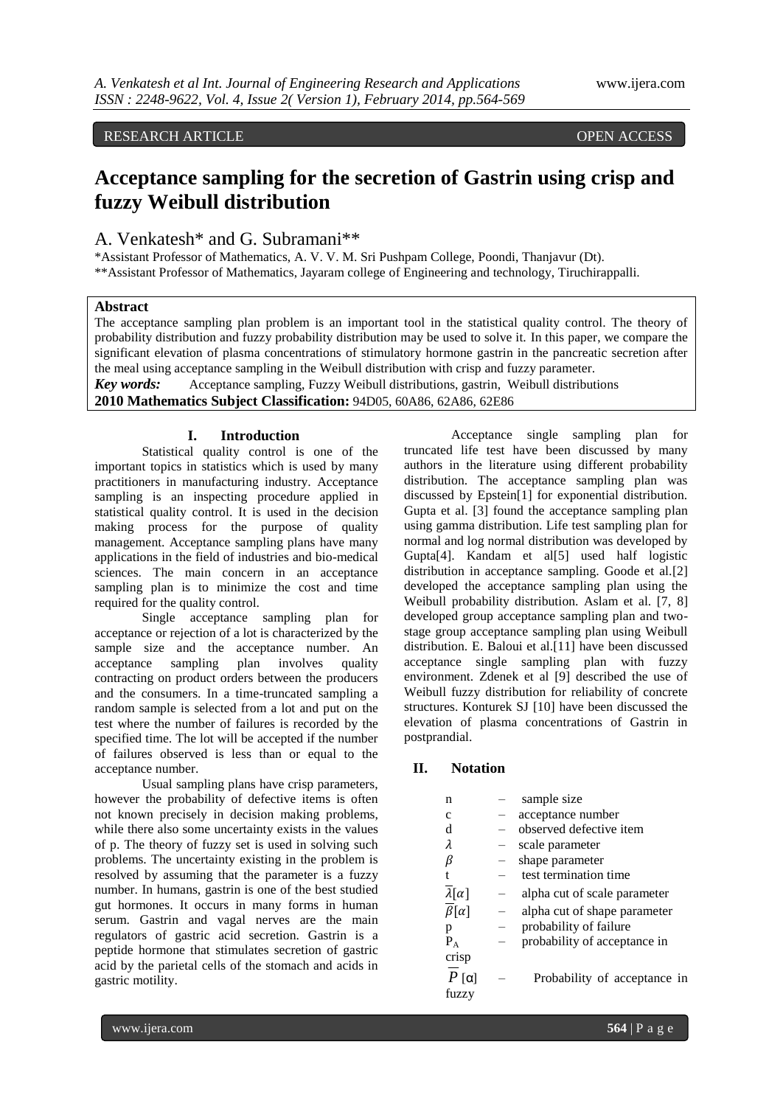# RESEARCH ARTICLE OPEN ACCESS

# **Acceptance sampling for the secretion of Gastrin using crisp and fuzzy Weibull distribution**

### A. Venkatesh\* and G. Subramani\*\*

\*Assistant Professor of Mathematics, A. V. V. M. Sri Pushpam College, Poondi, Thanjavur (Dt). \*\*Assistant Professor of Mathematics, Jayaram college of Engineering and technology, Tiruchirappalli.

#### **Abstract**

The acceptance sampling plan problem is an important tool in the statistical quality control. The theory of probability distribution and fuzzy probability distribution may be used to solve it. In this paper, we compare the significant elevation of plasma concentrations of stimulatory hormone gastrin in the pancreatic secretion after the meal using acceptance sampling in the Weibull distribution with crisp and fuzzy parameter.

*Key words:* Acceptance sampling, Fuzzy Weibull distributions, gastrin, Weibull distributions **2010 Mathematics Subject Classification:** 94D05, 60A86, 62A86, 62E86

#### **I. Introduction**

Statistical quality control is one of the important topics in statistics which is used by many practitioners in manufacturing industry. Acceptance sampling is an inspecting procedure applied in statistical quality control. It is used in the decision making process for the purpose of quality management. Acceptance sampling plans have many applications in the field of industries and bio-medical sciences. The main concern in an acceptance sampling plan is to minimize the cost and time required for the quality control.

Single acceptance sampling plan for acceptance or rejection of a lot is characterized by the sample size and the acceptance number. An acceptance sampling plan involves quality contracting on product orders between the producers and the consumers. In a time-truncated sampling a random sample is selected from a lot and put on the test where the number of failures is recorded by the specified time. The lot will be accepted if the number of failures observed is less than or equal to the acceptance number.

Usual sampling plans have crisp parameters, however the probability of defective items is often not known precisely in decision making problems, while there also some uncertainty exists in the values of p. The theory of fuzzy set is used in solving such problems. The uncertainty existing in the problem is resolved by assuming that the parameter is a fuzzy number. In humans, gastrin is one of the best studied gut hormones. It occurs in many forms in human serum. Gastrin and vagal nerves are the main regulators of gastric acid secretion. Gastrin is a peptide hormone that stimulates secretion of gastric acid by the parietal cells of the stomach and acids in gastric motility.

Acceptance single sampling plan for truncated life test have been discussed by many authors in the literature using different probability distribution. The acceptance sampling plan was discussed by Epstein[1] for exponential distribution. Gupta et al. [3] found the acceptance sampling plan using gamma distribution. Life test sampling plan for normal and log normal distribution was developed by Gupta[4]. Kandam et al[5] used half logistic distribution in acceptance sampling. Goode et al.[2] developed the acceptance sampling plan using the Weibull probability distribution. Aslam et al. [7, 8] developed group acceptance sampling plan and twostage group acceptance sampling plan using Weibull distribution. E. Baloui et al.[11] have been discussed acceptance single sampling plan with fuzzy environment. Zdenek et al [9] described the use of Weibull fuzzy distribution for reliability of concrete structures. Konturek SJ [10] have been discussed the elevation of plasma concentrations of Gastrin in postprandial.

## **II. Notation**

| n                          | sample size                  |
|----------------------------|------------------------------|
| с                          | acceptance number            |
| d                          | observed defective item      |
| λ                          | scale parameter              |
| β                          | shape parameter              |
| t                          | test termination time        |
| $\lambda[\alpha]$          | alpha cut of scale parameter |
| $\overline{\beta}[\alpha]$ | alpha cut of shape parameter |
| р                          | probability of failure       |
| $P_{A}$                    | probability of acceptance in |
| crisp                      |                              |
| $\lceil \alpha \rceil$     | Probability of acceptance in |
| fuzzy                      |                              |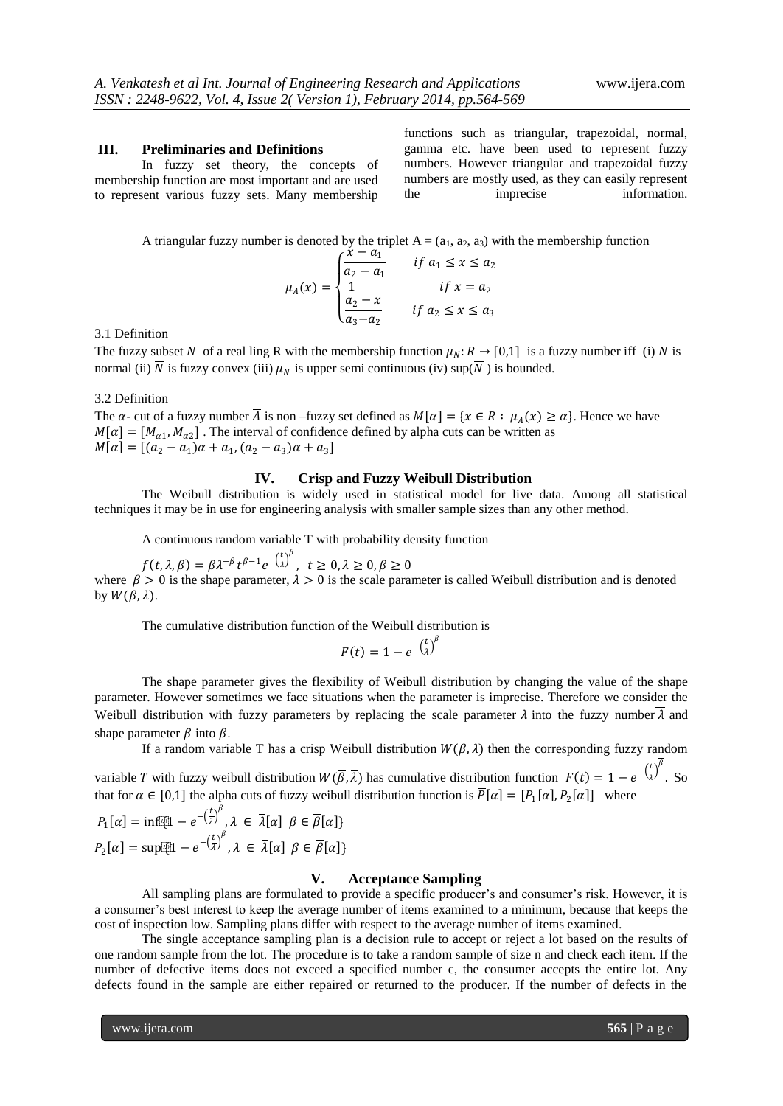#### **III. Preliminaries and Definitions**

In fuzzy set theory, the concepts of membership function are most important and are used to represent various fuzzy sets. Many membership

functions such as triangular, trapezoidal, normal, gamma etc. have been used to represent fuzzy numbers. However triangular and trapezoidal fuzzy numbers are mostly used, as they can easily represent the imprecise information.

A triangular fuzzy number is denoted by the triplet  $A = (a_1, a_2, a_3)$  with the membership function

$$
\mu_A(x) = \begin{cases} \frac{x - a_1}{a_2 - a_1} & \text{if } a_1 \le x \le a_2 \\ 1 & \text{if } x = a_2 \\ \frac{a_2 - x}{a_3 - a_2} & \text{if } a_2 \le x \le a_3 \end{cases}
$$

3.1 Definition

The fuzzy subset  $\overline{N}$  of a real ling R with the membership function  $\mu_N$ :  $R \to [0,1]$  is a fuzzy number iff (i)  $\overline{N}$  is normal (ii)  $\overline{N}$  is fuzzy convex (iii)  $\mu_N$  is upper semi continuous (iv) sup( $\overline{N}$ ) is bounded.

#### 3.2 Definition

The  $\alpha$ - cut of a fuzzy number  $\overline{A}$  is non –fuzzy set defined as  $M[\alpha] = \{ x \in R : \mu_A(x) \ge \alpha \}$ . Hence we have  $M[\alpha] = [M_{\alpha 1}, M_{\alpha 2}]$ . The interval of confidence defined by alpha cuts can be written as  $M[\alpha] = [(a_2 - a_1)\alpha + a_1, (a_2 - a_3)\alpha + a_3]$ 

#### **IV. Crisp and Fuzzy Weibull Distribution**

The Weibull distribution is widely used in statistical model for live data. Among all statistical techniques it may be in use for engineering analysis with smaller sample sizes than any other method.

A continuous random variable T with probability density function

 $f(t, \lambda, \beta) = \beta \lambda^{-\beta} t^{\beta - 1} e^{-\left(\frac{t}{\lambda}\right)^{\beta}}, t \ge 0, \lambda \ge 0, \beta \ge 0$ where  $\beta > 0$  is the shape parameter,  $\lambda > 0$  is the scale parameter is called Weibull distribution and is denoted by  $W(\beta, \lambda)$ .

The cumulative distribution function of the Weibull distribution is

$$
F(t) = 1 - e^{-\left(\frac{t}{\lambda}\right)^{\beta}}
$$

The shape parameter gives the flexibility of Weibull distribution by changing the value of the shape parameter. However sometimes we face situations when the parameter is imprecise. Therefore we consider the Weibull distribution with fuzzy parameters by replacing the scale parameter  $\lambda$  into the fuzzy number  $\overline{\lambda}$  and shape parameter  $\beta$  into  $\overline{\beta}$ .

If a random variable T has a crisp Weibull distribution  $W(\beta, \lambda)$  then the corresponding fuzzy random

variable  $\overline{T}$  with fuzzy weibull distribution  $W(\overline{\beta}, \overline{\lambda})$  has cumulative distribution function  $\overline{F}(t) = 1 - e^{-\left(\frac{t}{\overline{\lambda}}\right)t}$  $\left(\frac{t}{\lambda}\right)^{\beta}$ . So that for  $\alpha \in [0,1]$  the alpha cuts of fuzzy weibull distribution function is  $P[\alpha] = [P_1[\alpha], P_2[\alpha]]$  where

$$
P_1[\alpha] = \inf \{1 - e^{-\left(\frac{t}{\lambda}\right)^{\beta}}, \lambda \in \overline{\lambda}[\alpha] \; \beta \in \overline{\beta}[\alpha] \}
$$

$$
P_2[\alpha] = \sup \{1 - e^{-\left(\frac{t}{\lambda}\right)^{\beta}}, \lambda \in \overline{\lambda}[\alpha] \; \beta \in \overline{\beta}[\alpha] \}
$$

#### **V. Acceptance Sampling**

All sampling plans are formulated to provide a specific producer's and consumer's risk. However, it is a consumer's best interest to keep the average number of items examined to a minimum, because that keeps the cost of inspection low. Sampling plans differ with respect to the average number of items examined.

The single acceptance sampling plan is a decision rule to accept or reject a lot based on the results of one random sample from the lot. The procedure is to take a random sample of size n and check each item. If the number of defective items does not exceed a specified number c, the consumer accepts the entire lot. Any defects found in the sample are either repaired or returned to the producer. If the number of defects in the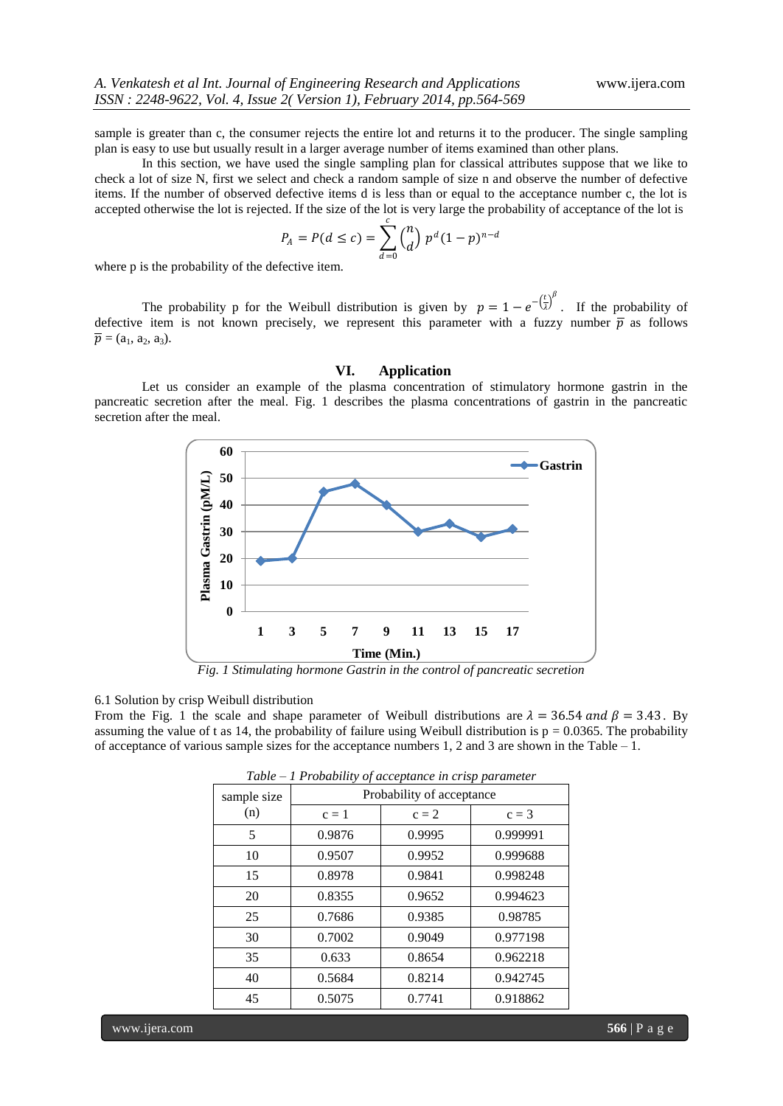sample is greater than c, the consumer rejects the entire lot and returns it to the producer. The single sampling plan is easy to use but usually result in a larger average number of items examined than other plans.

In this section, we have used the single sampling plan for classical attributes suppose that we like to check a lot of size N, first we select and check a random sample of size n and observe the number of defective items. If the number of observed defective items d is less than or equal to the acceptance number c, the lot is accepted otherwise the lot is rejected. If the size of the lot is very large the probability of acceptance of the lot is

$$
P_A = P(d \le c) = \sum_{d=0}^{c} {n \choose d} p^d (1-p)^{n-d}
$$

where p is the probability of the defective item.

The probability p for the Weibull distribution is given by  $p = 1 - e^{-\left(\frac{t}{\lambda}\right)^{\beta}}$ . If the probability of defective item is not known precisely, we represent this parameter with a fuzzy number  $\overline{p}$  as follows  $\overline{p} = (a_1, a_2, a_3).$ 

#### **VI. Application**

Let us consider an example of the plasma concentration of stimulatory hormone gastrin in the pancreatic secretion after the meal. Fig. 1 describes the plasma concentrations of gastrin in the pancreatic secretion after the meal.



*Fig. 1 Stimulating hormone Gastrin in the control of pancreatic secretion* 

#### 6.1 Solution by crisp Weibull distribution

From the Fig. 1 the scale and shape parameter of Weibull distributions are  $\lambda = 36.54$  and  $\beta = 3.43$ . By assuming the value of t as 14, the probability of failure using Weibull distribution is  $p = 0.0365$ . The probability of acceptance of various sample sizes for the acceptance numbers 1, 2 and 3 are shown in the Table *–* 1.

| sample size<br>(n) | Probability of acceptance |         |          |  |  |  |
|--------------------|---------------------------|---------|----------|--|--|--|
|                    | $c=1$                     | $c = 2$ | $c = 3$  |  |  |  |
| 5                  | 0.9876                    | 0.9995  | 0.999991 |  |  |  |
| 10                 | 0.9507                    | 0.9952  | 0.999688 |  |  |  |
| 15                 | 0.8978                    | 0.9841  | 0.998248 |  |  |  |
| 20                 | 0.8355                    | 0.9652  | 0.994623 |  |  |  |
| 25                 | 0.7686                    | 0.9385  | 0.98785  |  |  |  |
| 30                 | 0.7002                    | 0.9049  | 0.977198 |  |  |  |
| 35                 | 0.633                     | 0.8654  | 0.962218 |  |  |  |
| 40                 | 0.5684                    | 0.8214  | 0.942745 |  |  |  |
| 45                 | 0.5075                    | 0.7741  | 0.918862 |  |  |  |

*Table – 1 Probability of acceptance in crisp parameter*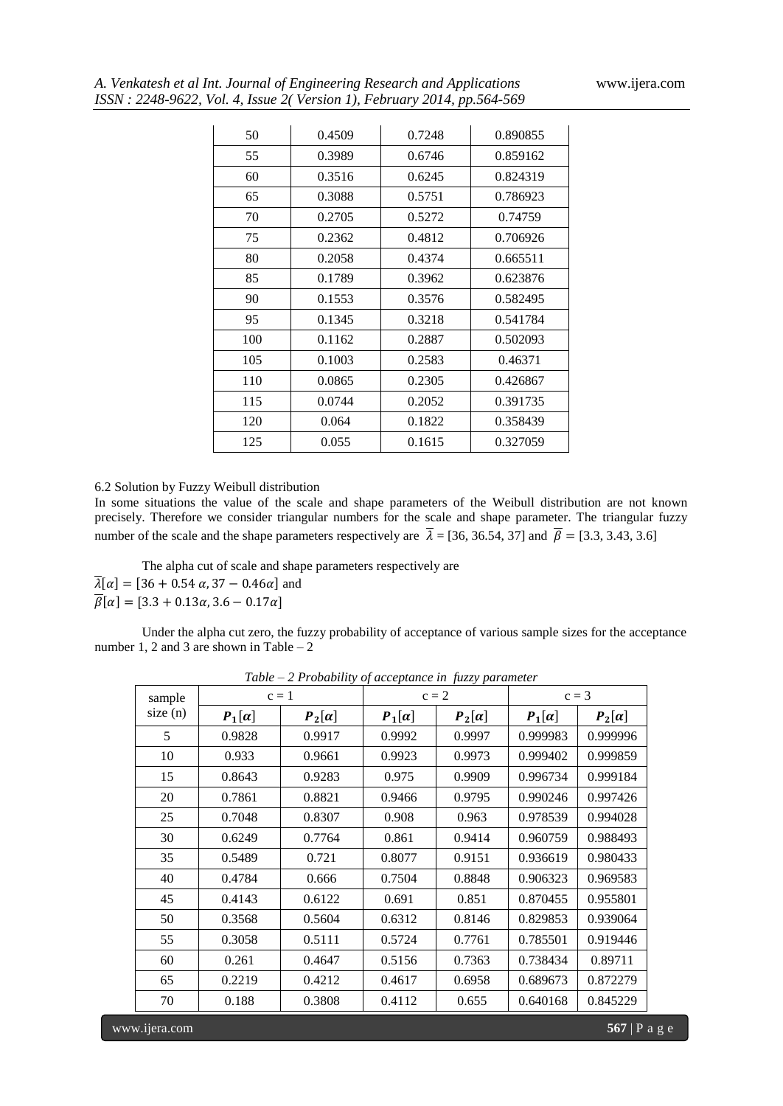|  |  |  |  |  | A. Venkatesh et al Int. Journal of Engineering Research and Applications |
|--|--|--|--|--|--------------------------------------------------------------------------|
|  |  |  |  |  | ISSN: 2248-9622, Vol. 4, Issue 2(Version 1), February 2014, pp.564-569   |

| 50  | 0.4509 | 0.7248 | 0.890855 |
|-----|--------|--------|----------|
| 55  | 0.3989 | 0.6746 | 0.859162 |
| 60  | 0.3516 | 0.6245 | 0.824319 |
| 65  | 0.3088 | 0.5751 | 0.786923 |
| 70  | 0.2705 | 0.5272 | 0.74759  |
| 75  | 0.2362 | 0.4812 | 0.706926 |
| 80  | 0.2058 | 0.4374 | 0.665511 |
| 85  | 0.1789 | 0.3962 | 0.623876 |
| 90  | 0.1553 | 0.3576 | 0.582495 |
| 95  | 0.1345 | 0.3218 | 0.541784 |
| 100 | 0.1162 | 0.2887 | 0.502093 |
| 105 | 0.1003 | 0.2583 | 0.46371  |
| 110 | 0.0865 | 0.2305 | 0.426867 |
| 115 | 0.0744 | 0.2052 | 0.391735 |
| 120 | 0.064  | 0.1822 | 0.358439 |
| 125 | 0.055  | 0.1615 | 0.327059 |

#### 6.2 Solution by Fuzzy Weibull distribution

In some situations the value of the scale and shape parameters of the Weibull distribution are not known precisely. Therefore we consider triangular numbers for the scale and shape parameter. The triangular fuzzy number of the scale and the shape parameters respectively are  $\bar{\lambda} = [36, 36.54, 37]$  and  $\bar{\beta} = [3.3, 3.43, 3.6]$ 

The alpha cut of scale and shape parameters respectively are  $\overline{\lambda}[\alpha] = [36 + 0.54 \alpha, 37 - 0.46 \alpha]$  and  $\overline{\beta}[\alpha] = [3.3 + 0.13\alpha, 3.6 - 0.17\alpha]$ 

Under the alpha cut zero, the fuzzy probability of acceptance of various sample sizes for the acceptance number 1, 2 and 3 are shown in Table – 2

| sample<br>size(n) | $c=1$         |               | <i>c)</i> acceptance in <i>face</i> , parame<br>$c = 2$ |               | $c = 3$       |               |
|-------------------|---------------|---------------|---------------------------------------------------------|---------------|---------------|---------------|
|                   | $P_1[\alpha]$ | $P_2[\alpha]$ | $P_1[\alpha]$                                           | $P_2[\alpha]$ | $P_1[\alpha]$ | $P_2[\alpha]$ |
| 5                 | 0.9828        | 0.9917        | 0.9992                                                  | 0.9997        | 0.999983      | 0.999996      |
| 10                | 0.933         | 0.9661        | 0.9923                                                  | 0.9973        | 0.999402      | 0.999859      |
| 15                | 0.8643        | 0.9283        | 0.975                                                   | 0.9909        | 0.996734      | 0.999184      |
| 20                | 0.7861        | 0.8821        | 0.9466                                                  | 0.9795        | 0.990246      | 0.997426      |
| 25                | 0.7048        | 0.8307        | 0.908                                                   | 0.963         | 0.978539      | 0.994028      |
| 30                | 0.6249        | 0.7764        | 0.861                                                   | 0.9414        | 0.960759      | 0.988493      |
| 35                | 0.5489        | 0.721         | 0.8077                                                  | 0.9151        | 0.936619      | 0.980433      |
| 40                | 0.4784        | 0.666         | 0.7504                                                  | 0.8848        | 0.906323      | 0.969583      |
| 45                | 0.4143        | 0.6122        | 0.691                                                   | 0.851         | 0.870455      | 0.955801      |
| 50                | 0.3568        | 0.5604        | 0.6312                                                  | 0.8146        | 0.829853      | 0.939064      |
| 55                | 0.3058        | 0.5111        | 0.5724                                                  | 0.7761        | 0.785501      | 0.919446      |
| 60                | 0.261         | 0.4647        | 0.5156                                                  | 0.7363        | 0.738434      | 0.89711       |
| 65                | 0.2219        | 0.4212        | 0.4617                                                  | 0.6958        | 0.689673      | 0.872279      |
| 70                | 0.188         | 0.3808        | 0.4112                                                  | 0.655         | 0.640168      | 0.845229      |

*Table – 2 Probability of acceptance in fuzzy parameter*

www.ijera.com **567** | P a g e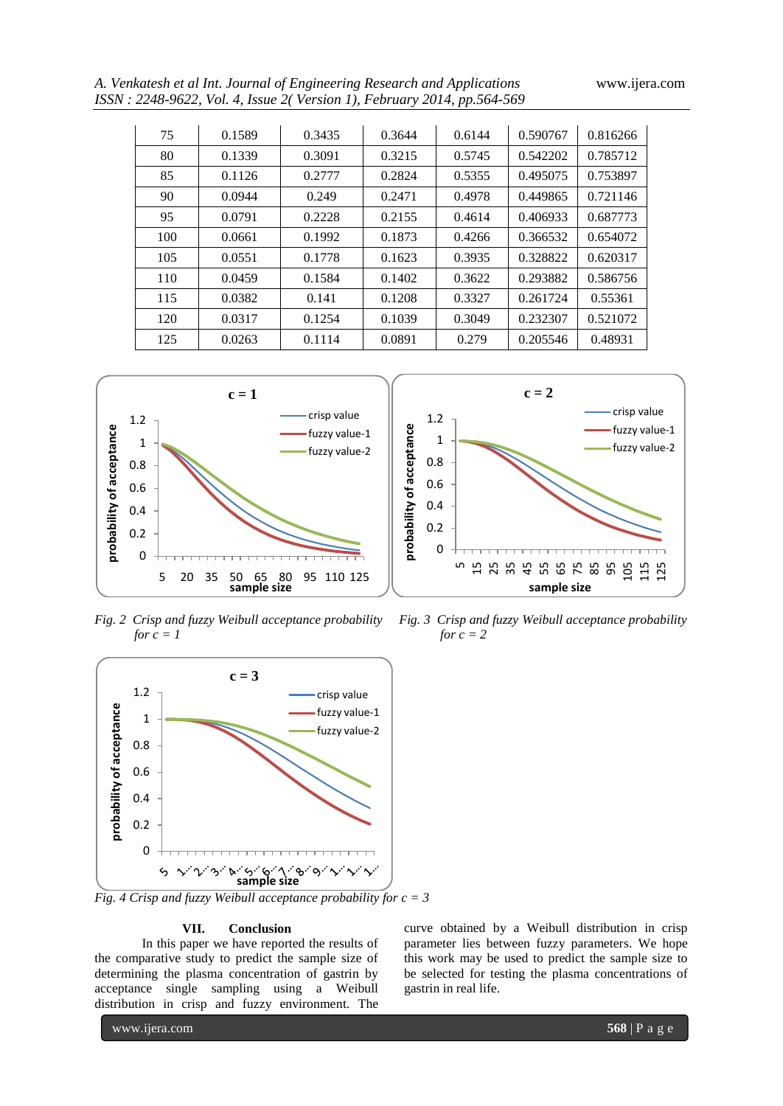*A. Venkatesh et al Int. Journal of Engineering Research and Applications* www.ijera.com *ISSN : 2248-9622, Vol. 4, Issue 2( Version 1), February 2014, pp.564-569* 

|     | $0.5022$ , vol. 7, issue 2) version 1), I eorian y 2017, pp. 507-507 |        |        |        |          |          |  |
|-----|----------------------------------------------------------------------|--------|--------|--------|----------|----------|--|
|     |                                                                      |        |        |        |          |          |  |
| 75  | 0.1589                                                               | 0.3435 | 0.3644 | 0.6144 | 0.590767 | 0.816266 |  |
| 80  | 0.1339                                                               | 0.3091 | 0.3215 | 0.5745 | 0.542202 | 0.785712 |  |
| 85  | 0.1126                                                               | 0.2777 | 0.2824 | 0.5355 | 0.495075 | 0.753897 |  |
| 90  | 0.0944                                                               | 0.249  | 0.2471 | 0.4978 | 0.449865 | 0.721146 |  |
| 95  | 0.0791                                                               | 0.2228 | 0.2155 | 0.4614 | 0.406933 | 0.687773 |  |
| 100 | 0.0661                                                               | 0.1992 | 0.1873 | 0.4266 | 0.366532 | 0.654072 |  |
| 105 | 0.0551                                                               | 0.1778 | 0.1623 | 0.3935 | 0.328822 | 0.620317 |  |
| 110 | 0.0459                                                               | 0.1584 | 0.1402 | 0.3622 | 0.293882 | 0.586756 |  |
| 115 | 0.0382                                                               | 0.141  | 0.1208 | 0.3327 | 0.261724 | 0.55361  |  |

120 0.0317 0.1254 0.1039 0.3049 0.232307 0.521072 125 | 0.0263 | 0.1114 | 0.0891 | 0.279 | 0.205546 | 0.48931

> 0 0.2 0.4 0.6 0.8 1 1.2

**probability of acceptance**

5



*Fig. 2 Crisp and fuzzy Weibull acceptance probability Fig. 3 Crisp and fuzzy Weibull acceptance probability for*  $c = 1$  *for*  $c = 2$ 



*Fig. 4 Crisp and fuzzy Weibull acceptance probability for c = 3*

#### **VII. Conclusion**

In this paper we have reported the results of the comparative study to predict the sample size of determining the plasma concentration of gastrin by acceptance single sampling using a Weibull distribution in crisp and fuzzy environment. The

curve obtained by a Weibull distribution in crisp parameter lies between fuzzy parameters. We hope this work may be used to predict the sample size to be selected for testing the plasma concentrations of gastrin in real life.

5 5 5 5 5 5 5 5 5

**c = 2**

**sample size**

105 115 125

crisp value fuzzy value-1 fuzzy value-2

www.ijera.com **568** | P a g e